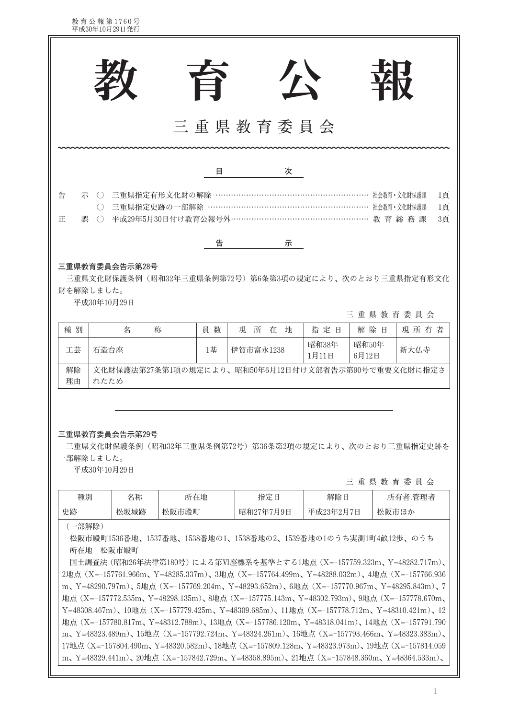教育公報第1760号<br>平成30年10月29日発行

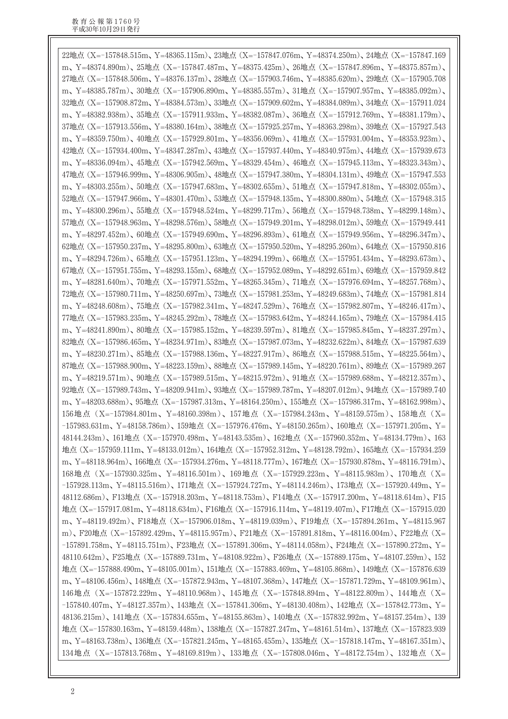22地点 (X=-157848.515m, Y=48365.115m), 23地点 (X=-157847.076m, Y=48374.250m), 24地点 (X=-157847.169 m、Y=48374.890m)、25地点(X=-157847.487m、Y=48375.425m)、26地点(X=-157847.896m、Y=48375.857m)、 27地点 (X=-157848.506m、Y=48376.137m)、28地点 (X=-157903.746m、Y=48385.620m)、29地点 (X=-157905.708 m、Y=48385.787m)、30地点 (X=-157906.890m、Y=48385.557m)、31地点 (X=-157907.957m、Y=48385.092m)、 32地点 (X=-157908.872m、Y=48384.573m)、33地点 (X=-157909.602m、Y=48384.089m)、34地点 (X=-157911.024 m、Y=48382.938m)、35地点(X=-157911.933m、Y=48382.087m)、36地点(X=-157912.769m、Y=48381.179m)、 37地点 (X=-157913.556m, Y=48380.164m), 38地点 (X=-157925.257m, Y=48363.298m), 39地点 (X=-157927.543 m、Y=48359.750m)、40地点 (X=-157929.801m、Y=48356.069m)、41地点 (X=-157931.004m、Y=48353.923m)、 42地点 (X=-157934.400m、Y=48347.287m)、43地点 (X=-157937.440m、Y=48340.975m)、44地点 (X=-157939.673 m、Y=48336.094m)、45地点 (X=-157942.569m、Y=48329.454m)、46地点 (X=-157945.113m、Y=48323.343m)、 47地点 (X=-157946.999m、Y=48306.905m)、48地点 (X=-157947.380m、Y=48304.131m)、49地点 (X=-157947.553 m、Y=48303.255m)、50地点(X=-157947.683m、Y=48302.655m)、51地点(X=-157947.818m、Y=48302.055m)、 52地点 (X=-157947.966m, Y=48301.470m), 53地点 (X=-157948.135m, Y=48300.880m), 54地点 (X=-157948.315 m、Y=48300.296m)、55地点(X=-157948.524m、Y=48299.717m)、56地点(X=-157948.738m、Y=48299.148m)、 57地点 (X=-157948.963m、Y=48298.576m)、58地点 (X=-157949.201m、Y=48298.012m)、59地点 (X=-157949.441 m、Y=48297.452m)、60地点(X=-157949.690m、Y=48296.893m)、61地点(X=-157949.956m、Y=48296.347m)、 62地点 (X=-157950.237m, Y=48295.800m), 63地点 (X=-157950.520m, Y=48295.260m), 64地点 (X=-157950.816 m、Y=48294.726m)、65地点 (X=-157951.123m、Y=48294.199m)、66地点 (X=-157951.434m、Y=48293.673m)、 67地点 (X=-157951.755m, Y=48293.155m), 68地点 (X=-157952.089m, Y=48292.651m), 69地点 (X=-157959.842 m、Y=48281.640m)、70地点(X=-157971.552m、Y=48265.345m)、71地点(X=-157976.694m、Y=48257.768m)、 72地点 (X=-157980.711m、Y=48250.697m)、73地点 (X=-157981.253m、Y=48249.683m)、74地点 (X=-157981.814 m、Y=48248.608m)、75地点(X=-157982.341m、Y=48247.529m)、76地点(X=-157982.807m、Y=48246.417m)、 77地点 (X=-157983.235m、Y=48245.292m)、78地点 (X=-157983.642m、Y=48244.165m)、79地点 (X=-157984.415 m、Y=48241.890m)、80地点 (X=-157985.152m、Y=48239.597m)、81地点 (X=-157985.845m、Y=48237.297m)、 82地点 (X=-157986.465m, Y=48234.971m), 83地点 (X=-157987.073m, Y=48232.622m), 84地点 (X=-157987.639 m、Y=48230.271m)、85地点(X=-157988.136m、Y=48227.917m)、86地点(X=-157988.515m、Y=48225.564m)、 87地点 (X=-157988.900m、Y=48223.159m)、88地点 (X=-157989.145m、Y=48220.761m)、89地点 (X=-157989.267 m、Y=48219.571m)、90地点 (X=-157989.515m、Y=48215.972m)、91地点 (X=-157989.688m、Y=48212.357m)、 92地点 (X=-157989.743m、Y=48209.941m)、93地点 (X=-157989.787m、Y=48207.012m)、94地点 (X=-157989.740 m、Y=48203.688m)、95地点 (X=-157987.313m、Y=48164.250m)、155地点 (X=-157986.317m、Y=48162.998m)、 156地点 (X=-157984.801m、Y=48160.398m)、157地点 (X=-157984.243m、Y=48159.575m)、158地点 (X= -157983.631m、Y=48158.786m)、159地点(X=-157976.476m、Y=48150.265m)、160地点(X=-157971.205m、Y= 48144.243m)、161地点 (X=-157970.498m、Y=48143.535m)、162地点 (X=-157960.352m、Y=48134.779m)、163 地点 (X=-157959.111m、Y=48133.012m)、164地点 (X=-157952.312m、Y=48128.792m)、165地点 (X=-157934.259 m, Y=48118.964m), 166地点 (X=-157934.276m, Y=48118.777m), 167地点 (X=-157930.878m, Y=48116.791m), 168地点 (X=-157930.325m、Y=48116.501m)、169地点 (X=-157929.223m、Y=48115.983m)、170地点 (X= -157928.113m、Y=48115.516m)、171地点(X=-157924.727m、Y=48114.246m)、173地点(X=-157920.449m、Y= 48112.686m)、F13地点 (X=-157918.203m、Y=48118.753m)、F14地点 (X=-157917.200m、Y=48118.614m)、F15 地点 (X=-157917.081m、Y=48118.634m)、F16地点 (X=-157916.114m、Y=48119.407m)、F17地点 (X=-157915.020 m、Y=48119.492m)、F18地点 (X=-157906.018m、Y=48119.039m)、F19地点 (X=-157894.261m、Y=48115.967 m)、F20地点 (X=-157892.429m、Y=48115.957m)、F21地点 (X=-157891.818m、Y=48116.004m)、F22地点 (X= -157891.758m、Y=48115.751m)、F23地点 (X=-157891.306m、Y=48114.058m)、F24地点 (X=-157890.272m、Y= 48110.642m)、F25地点 (X=-157889.731m、Y=48108.922m)、F26地点 (X=-157889.175m、Y=48107.259m)、152 地点 (X=-157888.490m, Y=48105.001m), 151地点 (X=-157883.469m, Y=48105.868m), 149地点 (X=-157876.639 m、Y=48106.456m)、148地点(X=-157872.943m、Y=48107.368m)、147地点(X=-157871.729m、Y=48109.961m)、 146地点 (X=-157872.229m、Y=48110.968m)、145地点 (X=-157848.894m、Y=48122.809m)、144地点 (X= -157840.407m、Y=48127.357m)、143地点(X=-157841.306m、Y=48130.408m)、142地点(X=-157842.773m、Y= 48136.215m)、141地点 (X=-157834.655m、Y=48155.863m)、140地点 (X=-157832.992m、Y=48157.254m)、139 地点 (X=-157830.163m、Y=48159.448m)、138地点 (X=-157827.247m、Y=48161.514m)、137地点 (X=-157823.939 m、Y=48163.738m)、136地点 (X=-157821.245m、Y=48165.455m)、135地点 (X=-157818.147m、Y=48167.351m)、 134地点 (X=-157813.768m、Y=48169.819m)、133地点 (X=-157808.046m、Y=48172.754m)、132地点 (X=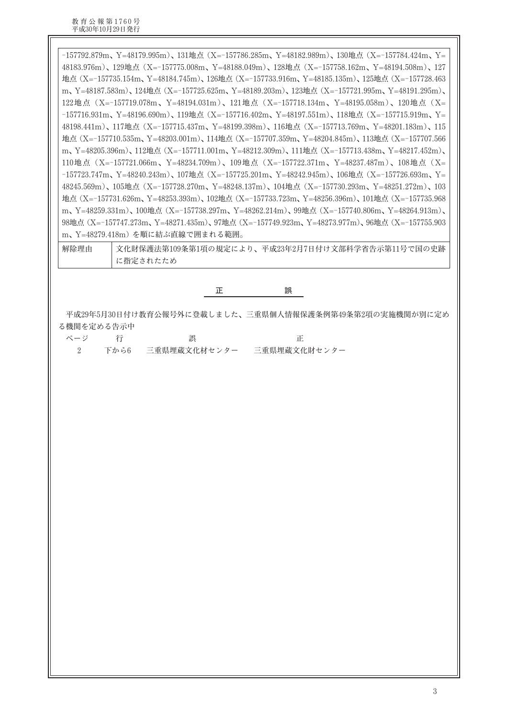-157792.879m、Y=48179.995m)、131地点(X=-157786.285m、Y=48182.989m)、130地点(X=-157784.424m、Y= 48183.976m)、129地点 (X=-157775.008m、Y=48188.049m)、128地点 (X=-157758.162m、Y=48194.508m)、127 地点 (X=-157735.154m, Y=48184.745m), 126地点 (X=-157733.916m, Y=48185.135m), 125地点 (X=-157728.463 m、Y=48187.583m)、124地点 (X=-157725.625m、Y=48189.203m)、123地点 (X=-157721.995m、Y=48191.295m)、 122地点 (X=-157719.078m、Y=48194.031m)、121地点 (X=-157718.134m、Y=48195.058m)、120地点 (X= -157716.931m、Y=48196.690m)、119地点(X=-157716.402m、Y=48197.551m)、118地点(X=-157715.919m、Y= 48198.441m)、117地点 (X=-157715.437m、Y=48199.398m)、116地点 (X=-157713.769m、Y=48201.183m)、115 地点 (X=-157710.535m、Y=48203.001m)、114地点 (X=-157707.359m、Y=48204.845m)、113地点 (X=-157707.566 m、Y=48205.396m)、112地点 (X=-157711.001m、Y=48212.309m)、111地点 (X=-157713.438m、Y=48217.452m)、 110地点 (X=-157721.066m、Y=48234.709m)、109地点 (X=-157722.371m、Y=48237.487m)、108地点 (X= -157723.747m、Y=48240.243m)、107地点(X=-157725.201m、Y=48242.945m)、106地点(X=-157726.693m、Y= 48245.569m)、105地点 (X=-157728.270m、Y=48248.137m)、104地点 (X=-157730.293m、Y=48251.272m)、103 地点 (X=-157731.626m, Y=48253.393m), 102地点 (X=-157733.723m, Y=48256.396m), 101地点 (X=-157735.968 m、Y=48259.331m)、100地点 (X=-157738.297m、Y=48262.214m)、99地点 (X=-157740.806m、Y=48264.913m)、 98地点 (X=-157747.273m, Y=48271.435m), 97地点 (X=-157749.923m, Y=48273.977m), 96地点 (X=-157755.903 m、Y=48279.418m)を順に結ぶ直線で囲まれる範囲。

文化財保護法第109条第1項の規定により、平成23年2月7日付け文部科学省告示第11号で国の史跡 解除理由 に指定されたため

## 誤 正

平成29年5月30日付け教育公報号外に登載しました、三重県個人情報保護条例第49条第2項の実施機関が別に定め る機関を定める告示中

| ページ |        | 誤            |              |
|-----|--------|--------------|--------------|
|     | 2 下から6 | 三重県埋蔵文化材センター | 三重県埋蔵文化財センター |